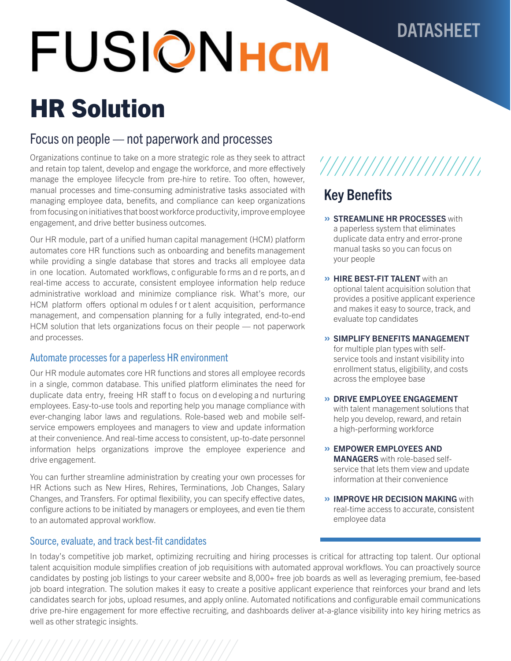# **FUSIONHCM**

# HR Solution

### Focus on people — not paperwork and processes

Organizations continue to take on a more strategic role as they seek to attract and retain top talent, develop and engage the workforce, and more effectively manage the employee lifecycle from pre-hire to retire. Too often, however, manual processes and time-consuming administrative tasks associated with managing employee data, benefits, and compliance can keep organizations from focusing on initiatives that boost workforce productivity, improve employee engagement, and drive better business outcomes.

Our HR module, part of a unified human capital management (HCM) platform automates core HR functions such as onboarding and benefits management while providing a single database that stores and tracks all employee data in one location. Automated workflows, c onfigurable fo rms an d re ports, an d real-time access to accurate, consistent employee information help reduce administrative workload and minimize compliance risk. What's more, our HCM platform offers optional m odules f or t alent acquisition, performance management, and compensation planning for a fully integrated, end-to-end HCM solution that lets organizations focus on their people — not paperwork and processes.

#### Automate processes for a paperless HR environment

Our HR module automates core HR functions and stores all employee records in a single, common database. This unified platform eliminates the need for duplicate data entry, freeing HR staff to focus on d eveloping and nurturing employees. Easy-to-use tools and reporting help you manage compliance with ever-changing labor laws and regulations. Role-based web and mobile selfservice empowers employees and managers to view and update information at their convenience. And real-time access to consistent, up-to-date personnel information helps organizations improve the employee experience and drive engagement.

You can further streamline administration by creating your own processes for HR Actions such as New Hires, Rehires, Terminations, Job Changes, Salary Changes, and Transfers. For optimal flexibility, you can specify effective dates, configure actions to be initiated by managers or employees, and even tie them to an automated approval workflow.

#### Source, evaluate, and track best-fit candidates

## '///////////////////

DATASHEET

## Key Benefits

- » STREAMLINE HR PROCESSES with a paperless system that eliminates duplicate data entry and error-prone manual tasks so you can focus on your people
- » HIRE BEST-FIT TALENT with an optional talent acquisition solution that provides a positive applicant experience and makes it easy to source, track, and evaluate top candidates
- » SIMPLIFY BENEFITS MANAGEMENT for multiple plan types with selfservice tools and instant visibility into enrollment status, eligibility, and costs across the employee base
- » DRIVE EMPLOYEE ENGAGEMENT with talent management solutions that help you develop, reward, and retain a high-performing workforce
- » EMPOWER EMPLOYEES AND MANAGERS with role-based selfservice that lets them view and update information at their convenience
- » IMPROVE HR DECISION MAKING with real-time access to accurate, consistent employee data

In today's competitive job market, optimizing recruiting and hiring processes is critical for attracting top talent. Our optional talent acquisition module simplifies creation of job requisitions with automated approval workflows. You can proactively source candidates by posting job listings to your career website and 8,000+ free job boards as well as leveraging premium, fee-based job board integration. The solution makes it easy to create a positive applicant experience that reinforces your brand and lets candidates search for jobs, upload resumes, and apply online. Automated notifications and configurable email communications drive pre-hire engagement for more effective recruiting, and dashboards deliver at-a-glance visibility into key hiring metrics as well as other strategic insights.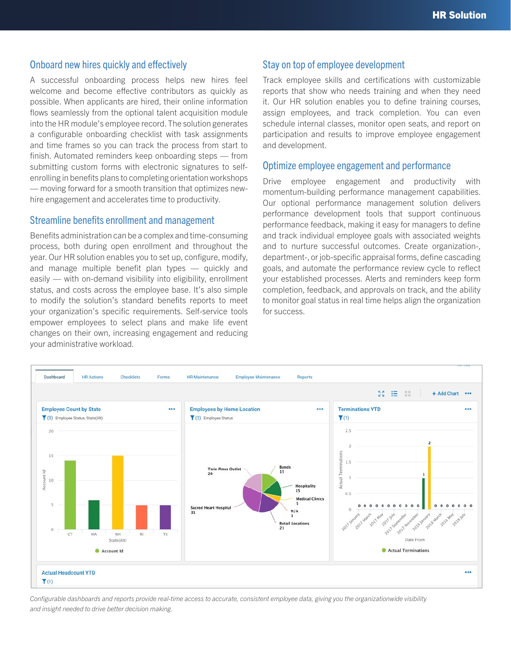#### Onboard new hires quickly and effectively

A successful onboarding process helps new hires feel welcome and become effective contributors as quickly as possible. When applicants are hired, their online information flows seamlessly from the optional talent acquisition module into the HR module's employee record. The solution generates a configurable onboarding checklist with task assignments and time frames so you can track the process from start to finish. Automated reminders keep onboarding steps — from submitting custom forms with electronic signatures to selfenrolling in benefits plans to completing orientation workshops — moving forward for a smooth transition that optimizes newhire engagement and accelerates time to productivity.

#### Streamline benefits enrollment and management

Benefits administration can be a complex and time-consuming process, both during open enrollment and throughout the year. Our HR solution enables you to set up, configure, modify, and manage multiple benefit plan types — quickly and easily — with on-demand visibility into eligibility, enrollment status, and costs across the employee base. It's also simple to modify the solution's standard benefits reports to meet your organization's specific requirements. Self-service tools empower employees to select plans and make life event changes on their own, increasing engagement and reducing your administrative workload.

#### Stay on top of employee development

Track employee skills and certifications with customizable reports that show who needs training and when they need it. Our HR solution enables you to define training courses, assign employees, and track completion. You can even schedule internal classes, monitor open seats, and report on participation and results to improve employee engagement and development.

#### Optimize employee engagement and performance

Drive employee engagement and productivity with momentum-building performance management capabilities. Our optional performance management solution delivers performance development tools that support continuous performance feedback, making it easy for managers to define and track individual employee goals with associated weights and to nurture successful outcomes. Create organization-, department-, or job-specific appraisal forms, define cascading goals, and automate the performance review cycle to reflect your established processes. Alerts and reminders keep form completion, feedback, and approvals on track, and the ability to monitor goal status in real time helps align the organization for success.



*Configurable dashboards and reports provide real-time access to accurate, consistent employee data, giving you the organizationwide visibility and insight needed to drive better decision making.*